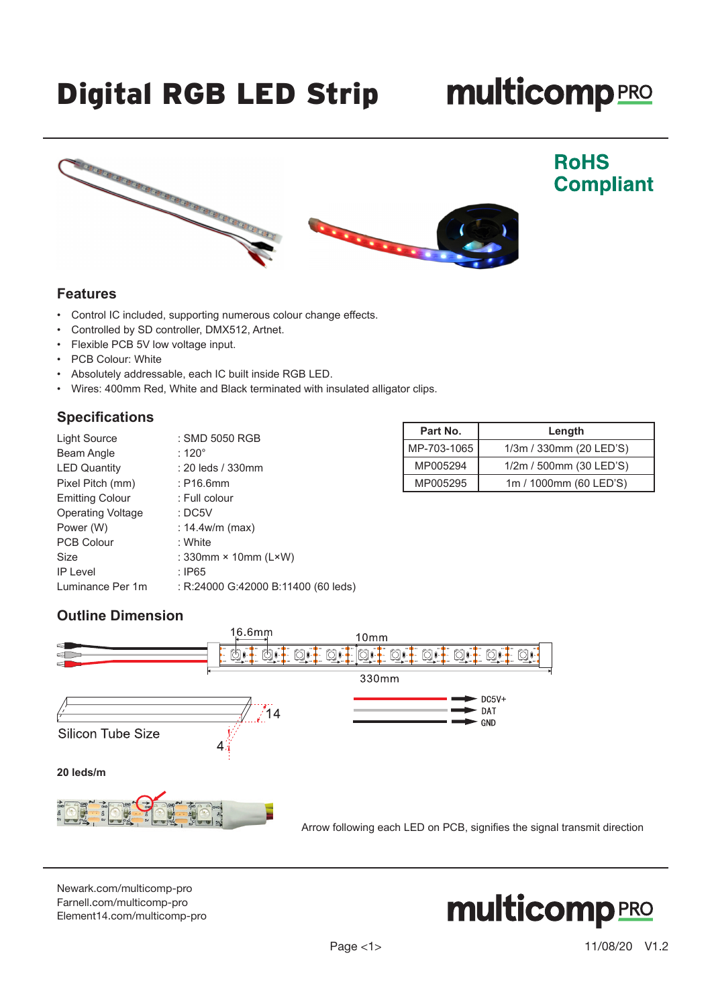# Digital RGB LED Strip

# **multicomp**PRO



#### **Features**

- Control IC included, supporting numerous colour change effects.
- Controlled by SD controller, DMX512, Artnet.
- Flexible PCB 5V low voltage input.
- PCB Colour: White
- Absolutely addressable, each IC built inside RGB LED.
- Wires: 400mm Red, White and Black terminated with insulated alligator clips.

#### **Specifications**

| Light Source             | : SMD 5050 RGB                      |  |
|--------------------------|-------------------------------------|--|
| Beam Angle               | : 120 $^{\circ}$                    |  |
| <b>LED Quantity</b>      | : 20 leds / 330mm                   |  |
| Pixel Pitch (mm)         | $:$ P16.6mm                         |  |
| <b>Emitting Colour</b>   | : Full colour                       |  |
| <b>Operating Voltage</b> | :DC5V                               |  |
| Power (W)                | : $14.4w/m$ (max)                   |  |
| <b>PCB Colour</b>        | : White                             |  |
| Size                     | : $330$ mm × 10mm ( $L \times W$ )  |  |
| <b>IP Level</b>          | : $IP65$                            |  |
| Luminance Per 1m         | : R:24000 G:42000 B:11400 (60 leds) |  |
|                          |                                     |  |

| Part No.    | Length                  |
|-------------|-------------------------|
| MP-703-1065 | 1/3m / 330mm (20 LED'S) |
| MP005294    | 1/2m / 500mm (30 LED'S) |
| MP005295    | 1m / 1000mm (60 LED'S)  |

## **Outline Dimension**



[Newark.com/multicomp-](https://www.newark.com/multicomp-pro)pro [Farnell.com/multicomp](https://www.farnell.com/multicomp-pro)-pro [Element14.com/multicomp-pro](https://element14.com/multicomp-pro)